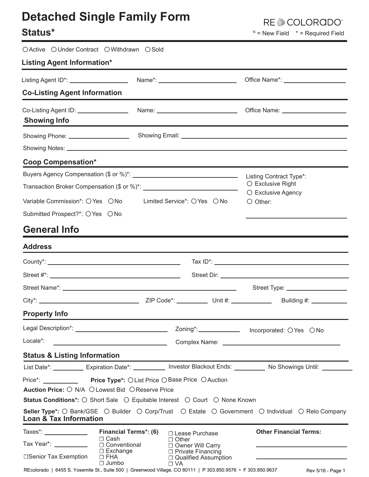# **Detached Single Family Form**

### Status\*

OActive OUnder Contract OWithdrawn OSold

RE COLORADO®

 $N =$  New Field  $* =$  Required Field

| <b>Listing Agent Information*</b>                                                                                                                                                               |                                                       |                                                            |                                                                                                                      |  |  |
|-------------------------------------------------------------------------------------------------------------------------------------------------------------------------------------------------|-------------------------------------------------------|------------------------------------------------------------|----------------------------------------------------------------------------------------------------------------------|--|--|
| Listing Agent ID*: ____________________                                                                                                                                                         |                                                       |                                                            | Office Name*: _____________________                                                                                  |  |  |
| <b>Co-Listing Agent Information</b>                                                                                                                                                             |                                                       |                                                            |                                                                                                                      |  |  |
| <b>Showing Info</b>                                                                                                                                                                             |                                                       |                                                            | Office Name: ______________________                                                                                  |  |  |
| Showing Phone: _____________________                                                                                                                                                            |                                                       |                                                            |                                                                                                                      |  |  |
|                                                                                                                                                                                                 |                                                       |                                                            |                                                                                                                      |  |  |
| <b>Coop Compensation*</b>                                                                                                                                                                       |                                                       |                                                            |                                                                                                                      |  |  |
| Buyers Agency Compensation (\$ or %)*: \\connection match match match match match match match match match match                                                                                 |                                                       |                                                            | Listing Contract Type*:                                                                                              |  |  |
|                                                                                                                                                                                                 |                                                       |                                                            | $\circ$ Exclusive Right<br>○ Exclusive Agency                                                                        |  |  |
| Variable Commission*: O Yes O No                                                                                                                                                                |                                                       | Limited Service <sup>*</sup> : ○ Yes ○ No                  | $\bigcirc$ Other:                                                                                                    |  |  |
| Submitted Prospect?*: O Yes O No                                                                                                                                                                |                                                       |                                                            |                                                                                                                      |  |  |
| <b>General Info</b>                                                                                                                                                                             |                                                       |                                                            |                                                                                                                      |  |  |
| <b>Address</b>                                                                                                                                                                                  |                                                       |                                                            |                                                                                                                      |  |  |
|                                                                                                                                                                                                 |                                                       |                                                            |                                                                                                                      |  |  |
|                                                                                                                                                                                                 |                                                       |                                                            |                                                                                                                      |  |  |
|                                                                                                                                                                                                 |                                                       |                                                            | Street Type: ____________________                                                                                    |  |  |
|                                                                                                                                                                                                 |                                                       |                                                            |                                                                                                                      |  |  |
| <b>Property Info</b>                                                                                                                                                                            |                                                       |                                                            |                                                                                                                      |  |  |
|                                                                                                                                                                                                 |                                                       |                                                            |                                                                                                                      |  |  |
| Locale*:                                                                                                                                                                                        | <u> 1980 - Johann Stoff, fransk politik (d. 1980)</u> |                                                            |                                                                                                                      |  |  |
| <b>Status &amp; Listing Information</b>                                                                                                                                                         |                                                       |                                                            |                                                                                                                      |  |  |
|                                                                                                                                                                                                 |                                                       |                                                            | List Date*: ___________ Expiration Date*: ___________ Investor Blackout Ends: __________ No Showings Until: ________ |  |  |
| Price*: Price Type*: OList Price OBase Price OAuction<br>Auction Price: O N/A O Lowest Bid O Reserve Price<br><b>Status Conditions*:</b> ○ Short Sale ○ Equitable Interest ○ Court ○ None Known |                                                       |                                                            |                                                                                                                      |  |  |
|                                                                                                                                                                                                 |                                                       |                                                            | Seller Type*: O Bank/GSE O Builder O Corp/Trust O Estate O Government O Individual O Relo Company                    |  |  |
| <b>Loan &amp; Tax Information</b>                                                                                                                                                               |                                                       |                                                            |                                                                                                                      |  |  |
|                                                                                                                                                                                                 | <b>Financial Terms*: (6)</b><br>$\Box$ Cash           | □ Lease Purchase                                           | <b>Other Financial Terms:</b>                                                                                        |  |  |
| Tax Year*: ___________                                                                                                                                                                          | $\Box$ Conventional                                   | $\Box$ Other<br>□ Owner Will Carry                         | the control of the control of the control of the control of the control of                                           |  |  |
| □ Senior Tax Exemption                                                                                                                                                                          | $\Box$ Exchange<br>$\Box$ FHA<br>$\Box$ Jumbo         | □ Private Financing<br>□ Qualified Assumption<br>$\Box$ VA |                                                                                                                      |  |  |
| REcolorado   6455 S. Yosemite St., Suite 500   Greenwood Village, CO 80111   P 303.850.9576 · F 303.850.9637                                                                                    |                                                       |                                                            | Rev 5/16 - Page 1                                                                                                    |  |  |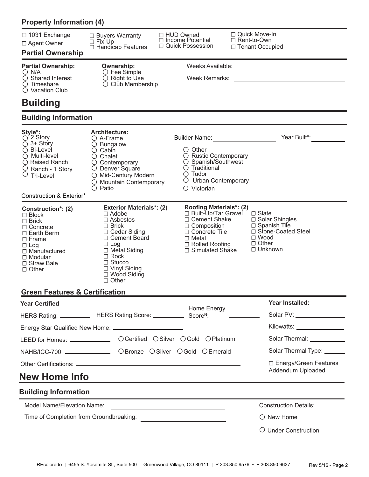| <b>Property Information (4)</b>                                                                                                                                                  |                                                                                                                                                                                                                       |                                                                                                                                                          |                                                                                                                                                                                                                                      |
|----------------------------------------------------------------------------------------------------------------------------------------------------------------------------------|-----------------------------------------------------------------------------------------------------------------------------------------------------------------------------------------------------------------------|----------------------------------------------------------------------------------------------------------------------------------------------------------|--------------------------------------------------------------------------------------------------------------------------------------------------------------------------------------------------------------------------------------|
| □ 1031 Exchange<br>$\Box$ Agent Owner<br><b>Partial Ownership</b>                                                                                                                | $\Box$ Buyers Warranty<br>$\Box$ Fix-Up<br>□ Handicap Features                                                                                                                                                        | □ HUD Owned<br>$\Box$ Income Potential<br>□ Quick Possession                                                                                             | □ Quick Move-In<br>$\sqcap$ Rent-to-Own<br>□ Tenant Occupied                                                                                                                                                                         |
| <b>Partial Ownership:</b>                                                                                                                                                        | <b>Ownership:</b>                                                                                                                                                                                                     |                                                                                                                                                          |                                                                                                                                                                                                                                      |
| $\bigcirc$ N/A<br>○ Shared Interest<br>$\circ$ Timeshare<br>$\bigcirc$ Vacation Club                                                                                             | $\circ$ Fee Simple<br>$\circ$ Right to Use<br>O Club Membership                                                                                                                                                       |                                                                                                                                                          |                                                                                                                                                                                                                                      |
| <b>Building</b>                                                                                                                                                                  |                                                                                                                                                                                                                       |                                                                                                                                                          |                                                                                                                                                                                                                                      |
| <b>Building Information</b>                                                                                                                                                      |                                                                                                                                                                                                                       |                                                                                                                                                          |                                                                                                                                                                                                                                      |
| <b>Style*:</b><br>○ 2 Story<br>$\bigcirc$ 3+ Story                                                                                                                               | <b>Architecture:</b><br>$\bigcirc$ A-Frame                                                                                                                                                                            |                                                                                                                                                          | Year Built*:                                                                                                                                                                                                                         |
| $\bigcirc$ Bi-Level<br>$\bigcirc$ Multi-level<br>○ Raised Ranch<br>O Ranch - 1 Story<br>$\circ$ Tri-Level<br>Construction & Exterior*                                            | $\bigcirc$ Bungalow<br>$\circ$ Cabin<br>$\circ$ Chalet<br>$\circ$ Contemporary<br>O Denver Square<br>○ Mid-Century Modern<br>O Mountain Contemporary<br>$\bigcirc$ Patio                                              | $\circ$ Other<br>O Rustic Contemporary<br>○ Spanish/Southwest<br>$\bigcirc$ Traditional<br>$\bigcirc$ Tudor<br>O Urban Contemporary<br>$\circ$ Victorian |                                                                                                                                                                                                                                      |
| Construction*: (2)                                                                                                                                                               | <b>Exterior Materials*: (2)</b>                                                                                                                                                                                       | <b>Roofing Materials*: (2)</b>                                                                                                                           |                                                                                                                                                                                                                                      |
| $\Box$ Block<br>$\Box$ Brick<br>$\Box$ Concrete<br>$\Box$ Earth Berm<br>$\Box$ Frame<br>$\Box$ Log<br>$\Box$ Manufactured<br>$\Box$ Modular<br>$\Box$ Straw Bale<br>$\Box$ Other | $\Box$ Adobe<br>$\Box$ Asbestos<br>$\Box$ Brick<br>$\Box$ Cedar Siding<br>□ Cement Board<br>$\Box$ Log<br>$\Box$ Metal Siding<br>$\Box$ Rock<br>$\Box$ Stucco<br>□ Vinyl Siding<br>$\Box$ Wood Siding<br>$\Box$ Other | □ Built-Up/Tar Gravel<br>□ Cement Shake<br>$\Box$ Composition<br>□ Concrete Tile<br>$\Box$ Metal<br>□ Rolled Roofing<br>$\Box$ Simulated Shake           | $\Box$ Slate<br>$\Box$ Solar Shingles<br>$\Box$ Spanish Tile<br>□ Stone-Coated Steel<br>$\Box$ Wood<br>$\Box$ Other<br>$\Box$ Unknown                                                                                                |
| <b>Green Features &amp; Certification</b>                                                                                                                                        |                                                                                                                                                                                                                       |                                                                                                                                                          |                                                                                                                                                                                                                                      |
| <b>Year Certified</b>                                                                                                                                                            | HERS Rating: _____________ HERS Rating Score: ____________ Score <sup>N</sup> :                                                                                                                                       | Home Energy                                                                                                                                              | Year Installed:<br>Solar PV: ___________________                                                                                                                                                                                     |
|                                                                                                                                                                                  |                                                                                                                                                                                                                       |                                                                                                                                                          | Kilowatts: _________________                                                                                                                                                                                                         |
|                                                                                                                                                                                  |                                                                                                                                                                                                                       | LEED for Homes: ___________________ OCertified OSilver OGold OPlatinum                                                                                   | Solar Thermal: <b>Contract Contract Contract Contract Contract Contract Contract Contract Contract Contract Contract Contract Contract Contract Contract Contract Contract Contract Contract Contract Contract Contract Contract</b> |
|                                                                                                                                                                                  | NAHB/ICC-700: ________________ OBronze OSilver OGold OEmerald                                                                                                                                                         |                                                                                                                                                          | Solar Thermal Type: ______                                                                                                                                                                                                           |
|                                                                                                                                                                                  |                                                                                                                                                                                                                       |                                                                                                                                                          | □ Energy/Green Features                                                                                                                                                                                                              |
| <b>New Home Info</b>                                                                                                                                                             |                                                                                                                                                                                                                       | the control of the control of the control of the control of the control of the control of                                                                | Addendum Uploaded                                                                                                                                                                                                                    |
| <b>Building Information</b>                                                                                                                                                      |                                                                                                                                                                                                                       |                                                                                                                                                          |                                                                                                                                                                                                                                      |
| Model Name/Elevation Name:                                                                                                                                                       |                                                                                                                                                                                                                       | the control of the control of the control of the control of the control of                                                                               | <b>Construction Details:</b>                                                                                                                                                                                                         |
| Time of Completion from Groundbreaking:                                                                                                                                          |                                                                                                                                                                                                                       |                                                                                                                                                          | $\bigcirc$ New Home                                                                                                                                                                                                                  |
|                                                                                                                                                                                  |                                                                                                                                                                                                                       |                                                                                                                                                          | O Under Construction                                                                                                                                                                                                                 |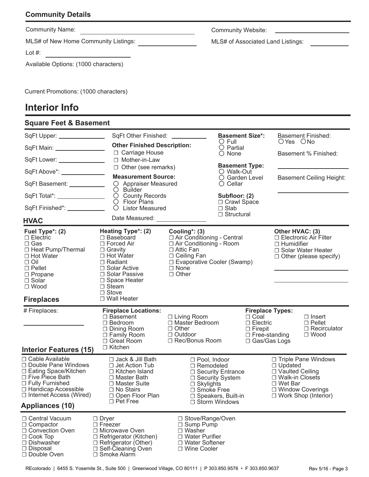#### **Community Details**

| <b>Community Name:</b>               | <b>Community Website:</b>         |  |  |
|--------------------------------------|-----------------------------------|--|--|
| MLS# of New Home Community Listings: | MLS# of Associated Land Listings: |  |  |
| Lot $#$ :                            |                                   |  |  |
| Available Options: (1000 characters) |                                   |  |  |
|                                      |                                   |  |  |

Current Promotions: (1000 characters)

#### **Interior Info**

| <b>Square Feet &amp; Basement</b>                                                                                                                                                                        |                                                                                                                                                                                                              |                                                                                                                                                                                         |                                                                                          |                                                                                                                       |                                                                            |                                                                                  |
|----------------------------------------------------------------------------------------------------------------------------------------------------------------------------------------------------------|--------------------------------------------------------------------------------------------------------------------------------------------------------------------------------------------------------------|-----------------------------------------------------------------------------------------------------------------------------------------------------------------------------------------|------------------------------------------------------------------------------------------|-----------------------------------------------------------------------------------------------------------------------|----------------------------------------------------------------------------|----------------------------------------------------------------------------------|
| SqFt Upper: _______________                                                                                                                                                                              | SqFt Other Finished: SqFt Other Finished:                                                                                                                                                                    | <b>Basement Size*:</b><br>$\bigcirc$ Full                                                                                                                                               |                                                                                          |                                                                                                                       | OYes ONo                                                                   | <b>Basement Finished:</b>                                                        |
| SqFt Main: _________________                                                                                                                                                                             | <b>Other Finished Description:</b><br>□ Carriage House                                                                                                                                                       |                                                                                                                                                                                         | $\bigcirc$ Partial<br>$\bigcirc$ None                                                    |                                                                                                                       |                                                                            | Basement % Finished:                                                             |
| SqFt Lower: ________________                                                                                                                                                                             | □ Mother-in-Law                                                                                                                                                                                              |                                                                                                                                                                                         | <b>Basement Type:</b>                                                                    |                                                                                                                       |                                                                            |                                                                                  |
| SqFt Above*: _______________                                                                                                                                                                             | $\Box$ Other (see remarks)<br><b>Measurement Source:</b>                                                                                                                                                     |                                                                                                                                                                                         | O Walk-Out<br>O Garden Level<br>$\circ$ Cellar                                           |                                                                                                                       |                                                                            |                                                                                  |
| SqFt Basement: ___________                                                                                                                                                                               | O Appraiser Measured<br>$\bigcirc$ Builder                                                                                                                                                                   |                                                                                                                                                                                         |                                                                                          |                                                                                                                       |                                                                            | <b>Basement Ceiling Height:</b>                                                  |
| SqFt Total*: ________________                                                                                                                                                                            | O County Records<br>$\circ$ Floor Plans                                                                                                                                                                      |                                                                                                                                                                                         | Subfloor: (2)<br>□ Crawl Space<br>$\Box$ Slab<br>$\Box$ Structural                       |                                                                                                                       |                                                                            |                                                                                  |
| SqFt Finished*: ___________                                                                                                                                                                              | O Listor Measured                                                                                                                                                                                            |                                                                                                                                                                                         |                                                                                          |                                                                                                                       |                                                                            |                                                                                  |
| <b>HVAC</b>                                                                                                                                                                                              | Date Measured: ________________                                                                                                                                                                              |                                                                                                                                                                                         |                                                                                          |                                                                                                                       |                                                                            |                                                                                  |
| Fuel Type*: (2)<br>□ Electric<br>$\Box$ Gas<br>□ Heat Pump/Thermal<br>□ Hot Water<br>$\Box$ Oil<br>$\Box$ Pellet<br>$\Box$ Propane<br>$\Box$ Solar<br>$\Box$ Wood<br><b>Fireplaces</b>                   | Heating Type*: (2)<br>□ Baseboard<br>$\Box$ Forced Air<br>$\Box$ Gravity<br>□ Hot Water<br>□ Radiant<br>□ Solar Active<br>□ Solar Passive<br>□ Space Heater<br>$\Box$ Steam<br>$\Box$ Stove<br>□ Wall Heater | Cooling $*$ : (3)<br>□ Air Conditioning - Central<br>□ Air Conditioning - Room<br>$\Box$ Attic Fan<br>$\Box$ Ceiling Fan<br>□ Evaporative Cooler (Swamp)<br>$\Box$ None<br>$\Box$ Other |                                                                                          |                                                                                                                       | Other HVAC: (3)<br>$\Box$ Humidifier                                       | □ Electronic Air Filter<br>□ Solar Water Heater<br>$\Box$ Other (please specify) |
| # Fireplaces:<br><b>Interior Features (15)</b>                                                                                                                                                           | <b>Fireplace Locations:</b><br>$\Box$ Basement<br>$\Box$ Bedroom<br>$\Box$ Dining Room<br>□ Family Room<br>□ Great Room<br>$\Box$ Kitchen                                                                    | $\Box$ Living Room<br>□ Master Bedroom<br>$\Box$ Other<br>□ Outdoor<br>□ Rec/Bonus Room                                                                                                 |                                                                                          | <b>Fireplace Types:</b><br>$\Box$ Coal<br>$\Box$ Electric<br>$\Box$ Firepit<br>$\Box$ Free-standing<br>□ Gas/Gas Logs |                                                                            | $\Box$ Insert<br>$\Box$ Pellet<br>$\Box$ Recirculator<br>$\Box$ Wood             |
| □ Cable Available<br>□ Double Pane Windows<br>□ Eating Space/Kitchen<br>$\Box$ Five Piece Bath<br>□ Fully Furnished<br>□ Handicap Accessible<br>$\Box$ Internet Access (Wired)<br><b>Appliances (10)</b> | □ Jack & Jill Bath<br>□ Jet Action Tub<br>□ Kitchen Island<br>□ Master Bath<br>□ Master Suite<br>$\Box$ No Stairs<br>□ Open Floor Plan<br>$\Box$ Pet Free                                                    | $\Box$ Pool, Indoor<br>□ Remodeled<br>$\Box$ Skylights<br>□ Smoke Free                                                                                                                  | □ Security Entrance<br>□ Security System<br>□ Speakers, Built-in<br>$\Box$ Storm Windows |                                                                                                                       | $\Box$ Updated<br>□ Vaulted Ceiling<br>□ Walk-in Closets<br>$\Box$ Wet Bar | □ Triple Pane Windows<br>□ Window Coverings<br>$\Box$ Work Shop (Interior)       |
| □ Central Vacuum<br>$\Box$ Compactor<br>□ Convection Oven<br>$\Box$ Cook Top<br>$\Box$ Dishwasher<br>□ Disposal<br>□ Double Oven                                                                         | $\Box$ Dryer<br>$\Box$ Freezer<br>□ Microwave Oven<br>$\Box$ Refrigerator (Kitchen)<br>$\Box$ Refrigerator (Other)<br>□ Self-Cleaning Oven<br>$\Box$ Smoke Alarm                                             | □ Stove/Range/Oven<br>$\Box$ Sump Pump<br>□ Washer<br>$\Box$ Water Purifier<br>□ Water Softener<br>□ Wine Cooler                                                                        |                                                                                          |                                                                                                                       |                                                                            |                                                                                  |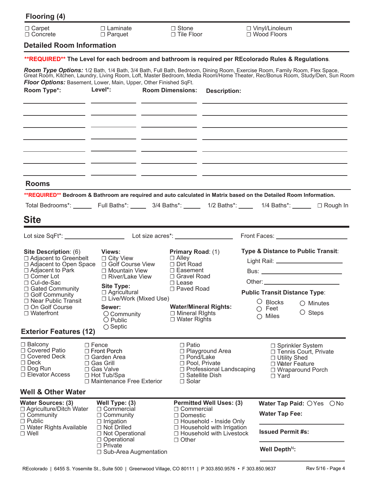| Flooring (4)                                                                                                                                                                       |                                                                                                                                                                                                         |                                                                                                                                                 |                                                                                                                                                                                                                                                                                                                                                                                     |  |
|------------------------------------------------------------------------------------------------------------------------------------------------------------------------------------|---------------------------------------------------------------------------------------------------------------------------------------------------------------------------------------------------------|-------------------------------------------------------------------------------------------------------------------------------------------------|-------------------------------------------------------------------------------------------------------------------------------------------------------------------------------------------------------------------------------------------------------------------------------------------------------------------------------------------------------------------------------------|--|
| $\Box$ Carpet<br>$\Box$ Concrete                                                                                                                                                   | $\Box$ Laminate<br>$\Box$ Parquet                                                                                                                                                                       | $\Box$ Stone<br>$\Box$ Tile Floor                                                                                                               | □ Vinyl/Linoleum<br>$\Box$ Wood Floors                                                                                                                                                                                                                                                                                                                                              |  |
| <b>Detailed Room Information</b>                                                                                                                                                   |                                                                                                                                                                                                         |                                                                                                                                                 |                                                                                                                                                                                                                                                                                                                                                                                     |  |
|                                                                                                                                                                                    |                                                                                                                                                                                                         |                                                                                                                                                 | **REQUIRED** The Level for each bedroom and bathroom is required per REcolorado Rules & Regulations.                                                                                                                                                                                                                                                                                |  |
| Room Type*:                                                                                                                                                                        | Floor Options: Basement, Lower, Main, Upper, Other Finished SqFt.<br>Level*:                                                                                                                            | <b>Room Dimensions:</b><br><b>Description:</b>                                                                                                  | Room Type Options: 1/2 Bath, 1/4 Bath, 3/4 Bath, Full Bath, Bedroom, Dining Room, Exercise Room, Family Room, Flex Space,<br>Great Room, Kitchen, Laundry, Living Room, Loft, Master Bedroom, Media Room/Home Theater, Rec/Bonus Room, Study/Den, Sun Room<br><u> La Carteria de la Carteria de la Carteria de la Carteria de la Carteria de la Carteria de la Carteria de la C</u> |  |
|                                                                                                                                                                                    |                                                                                                                                                                                                         |                                                                                                                                                 |                                                                                                                                                                                                                                                                                                                                                                                     |  |
| <b>Rooms</b>                                                                                                                                                                       |                                                                                                                                                                                                         |                                                                                                                                                 |                                                                                                                                                                                                                                                                                                                                                                                     |  |
|                                                                                                                                                                                    |                                                                                                                                                                                                         |                                                                                                                                                 | **REQUIRED** Bedroom & Bathroom are required and auto calculated in Matrix based on the Detailed Room Information.<br>Total Bedrooms*: _______ Full Baths*: ______ 3/4 Baths*: _____ 1/2 Baths*: _____ 1/4 Baths*: ______ □ Rough In                                                                                                                                                |  |
|                                                                                                                                                                                    |                                                                                                                                                                                                         |                                                                                                                                                 |                                                                                                                                                                                                                                                                                                                                                                                     |  |
| <b>Site</b>                                                                                                                                                                        |                                                                                                                                                                                                         |                                                                                                                                                 |                                                                                                                                                                                                                                                                                                                                                                                     |  |
|                                                                                                                                                                                    |                                                                                                                                                                                                         |                                                                                                                                                 | Front Faces: ________________________                                                                                                                                                                                                                                                                                                                                               |  |
| Site Description: (6)<br>□ Adjacent to Greenbelt<br>$\Box$ Adjacent to Park<br>$\Box$ Corner Lot<br>□ Cul-de-Sac<br>□ Gated Community<br>□ Golf Community<br>□ Near Public Transit | Views:<br>$\Box$ City View<br>$\Box$ Adjacent to Open Space $\Box$ Golf Course View<br>□ Mountain View<br>$\Box$ River/Lake View<br><b>Site Type:</b><br>$\Box$ Agricultural<br>□ Live/Work (Mixed Use) | <b>Primary Road: (1)</b><br>$\Box$ Alley<br>$\Box$ Dirt Road<br>$\Box$ Easement<br>□ Gravel Road<br>$\Box$ Lease<br>□ Paved Road                | Type & Distance to Public Transit:<br>Light Rail: ________________________<br>Other: $\_\_$<br><b>Public Transit Distance Type:</b><br>$\circ$ Blocks<br>$\bigcirc$ Minutes                                                                                                                                                                                                         |  |
| □ On Golf Course<br>$\Box$ Waterfront                                                                                                                                              | Sewer:<br>$\bigcirc$ Community<br>$\bigcirc$ Public<br>$\bigcirc$ Septic                                                                                                                                | <b>Water/Mineral Rights:</b><br>$\Box$ Mineral Rights<br>$\Box$ Water Rights                                                                    | $\circ$ Feet<br>$\circ$ Steps<br>$\bigcirc$ Miles                                                                                                                                                                                                                                                                                                                                   |  |
| <b>Exterior Features (12)</b>                                                                                                                                                      |                                                                                                                                                                                                         |                                                                                                                                                 |                                                                                                                                                                                                                                                                                                                                                                                     |  |
| $\Box$ Balcony<br>□ Covered Patio<br>□ Covered Deck<br>$\Box$ Deck<br>$\Box$ Dog Run<br>$\Box$ Elevator Access                                                                     | $\square$ Fence<br>$\Box$ Front Porch<br>$\Box$ Garden Area<br>□ Gas Grill<br>□ Gas Valve<br>□ Hot Tub/Spa<br>$\Box$ Maintenance Free Exterior                                                          | $\Box$ Patio<br>□ Playground Area<br>□ Pond/Lake<br>□ Pool, Private<br>$\Box$ Professional Landscaping<br>$\Box$ Satellite Dish<br>$\Box$ Solar | □ Sprinkler System<br>□ Tennis Court, Private<br>□ Utility Shed<br>□ Water Feature<br>□ Wraparound Porch<br>$\Box$ Yard                                                                                                                                                                                                                                                             |  |
| Well & Other Water                                                                                                                                                                 |                                                                                                                                                                                                         |                                                                                                                                                 |                                                                                                                                                                                                                                                                                                                                                                                     |  |
| <b>Water Sources: (3)</b><br>□ Agriculture/Ditch Water<br>$\Box$ Community<br>$\Box$ Public                                                                                        | Well Type: (3)<br>$\Box$ Commercial<br>$\Box$ Community<br>$\Box$ Irrigation                                                                                                                            | <b>Permitted Well Uses: (3)</b><br>□ Commercial<br>□ Domestic<br>□ Household - Inside Only                                                      | Water Tap Paid: OYes ONo<br><b>Water Tap Fee:</b>                                                                                                                                                                                                                                                                                                                                   |  |
| □ Water Rights Available<br>$\Box$ Well                                                                                                                                            | $\Box$ Not Drilled<br>□ Not Operational<br>$\Box$ Operational                                                                                                                                           | $\Box$ Household with Irrigation<br>$\Box$ Household with Livestock<br>$\Box$ Other                                                             | <b>Issued Permit #s:</b>                                                                                                                                                                                                                                                                                                                                                            |  |
|                                                                                                                                                                                    | $\Box$ Private<br>□ Sub-Area Augmentation                                                                                                                                                               |                                                                                                                                                 | Well Depth <sup>N</sup> :                                                                                                                                                                                                                                                                                                                                                           |  |

REcolorado | 6455 S. Yosemite St., Suite 500 | Greenwood Village, CO 80111 | P 303.850.9576 · F 303.850.9637 Rev 5/16 - Page 4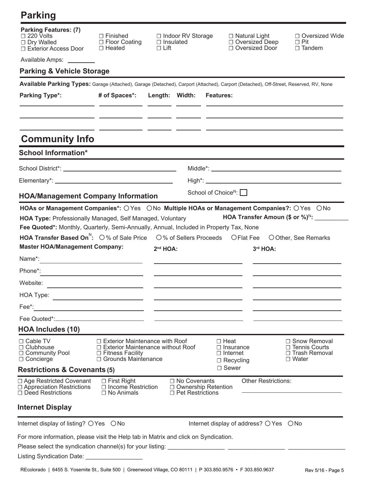# **Parking**

| <b>Parking Features: (7)</b><br>$\Box$ 220 Volts<br>□ Dry Walled<br>□ Exterior Access Door                                                                                                                                                               | $\Box$ Finished<br>$\Box$ Floor Coating<br>$\Box$ Heated                                                                              | □ Indoor RV Storage<br>$\Box$ Insulated<br>$\Box$ Lift                  | $\Box$ Natural Light<br>□ Oversized Deep<br>□ Oversized Door                      | $\Box$ Oversized Wide<br>$\Box$ Pit<br>$\Box$ Tandem                      |
|----------------------------------------------------------------------------------------------------------------------------------------------------------------------------------------------------------------------------------------------------------|---------------------------------------------------------------------------------------------------------------------------------------|-------------------------------------------------------------------------|-----------------------------------------------------------------------------------|---------------------------------------------------------------------------|
| Available Amps: ________                                                                                                                                                                                                                                 |                                                                                                                                       |                                                                         |                                                                                   |                                                                           |
| <b>Parking &amp; Vehicle Storage</b>                                                                                                                                                                                                                     |                                                                                                                                       |                                                                         |                                                                                   |                                                                           |
| Available Parking Types: Garage (Attached), Garage (Detached), Carport (Attached), Carport (Detached), Off-Street, Reserved, RV, None                                                                                                                    |                                                                                                                                       |                                                                         |                                                                                   |                                                                           |
| <b>Parking Type*:</b>                                                                                                                                                                                                                                    | # of Spaces*:                                                                                                                         | Length: Width:                                                          | <b>Features:</b>                                                                  |                                                                           |
|                                                                                                                                                                                                                                                          |                                                                                                                                       |                                                                         |                                                                                   |                                                                           |
|                                                                                                                                                                                                                                                          |                                                                                                                                       |                                                                         |                                                                                   |                                                                           |
| <b>Community Info</b>                                                                                                                                                                                                                                    |                                                                                                                                       |                                                                         |                                                                                   |                                                                           |
| <b>School Information*</b>                                                                                                                                                                                                                               |                                                                                                                                       |                                                                         |                                                                                   |                                                                           |
|                                                                                                                                                                                                                                                          |                                                                                                                                       |                                                                         |                                                                                   |                                                                           |
|                                                                                                                                                                                                                                                          |                                                                                                                                       |                                                                         |                                                                                   |                                                                           |
|                                                                                                                                                                                                                                                          |                                                                                                                                       |                                                                         | School of Choice <sup>N</sup> : $\Box$                                            |                                                                           |
| <b>HOA/Management Company Information</b>                                                                                                                                                                                                                |                                                                                                                                       |                                                                         |                                                                                   |                                                                           |
| <b>HOA Transfer Based On</b> <sup>N</sup> : $\bigcirc$ % of Sale Price $\bigcirc$ % of Sellers Proceeds $\bigcirc$ Flat Fee<br><b>Master HOA/Management Company:</b><br>Name*: $\qquad \qquad$<br>Phone <sup>*</sup> :<br>Website:<br>HOA Type:<br>Fee*: | <u> 1980 - Johann Barbara, martxa a</u><br><u> 1989 - Johann Stoff, fransk politik (d. 1989)</u>                                      | $2nd HOA$ :                                                             | 3rd HOA:                                                                          | OOther, See Remarks                                                       |
| Fee Quoted*:_                                                                                                                                                                                                                                            | the control of the control of the control of the control of                                                                           |                                                                         |                                                                                   |                                                                           |
| <b>HOA Includes (10)</b>                                                                                                                                                                                                                                 |                                                                                                                                       |                                                                         |                                                                                   |                                                                           |
| $\Box$ Cable TV<br>$\Box$ Clubhouse<br>□ Community Pool<br>$\Box$ Concierge                                                                                                                                                                              | $\Box$ Exterior Maintenance with Roof<br>$\Box$ Exterior Maintenance without Roof<br>□ Fitness Facility<br>$\Box$ Grounds Maintenance |                                                                         | $\Box$ Heat<br>$\Box$ Insurance<br>$\Box$ Internet<br>$\Box$ Recycling<br>□ Sewer | □ Snow Removal<br>$\Box$ Tennis Courts<br>□ Trash Removal<br>$\Box$ Water |
| <b>Restrictions &amp; Covenants (5)</b>                                                                                                                                                                                                                  |                                                                                                                                       |                                                                         |                                                                                   |                                                                           |
| □ Age Restricted Covenant<br>□ Appreciation Restrictions<br>□ Deed Restrictions                                                                                                                                                                          | $\Box$ First Right<br>$\Box$ Income Restriction<br>$\Box$ No Animals                                                                  | □ No Covenants<br>$\Box$ Ownership Retention<br>$\Box$ Pet Restrictions | <b>Other Restrictions:</b>                                                        |                                                                           |
| Internet Display                                                                                                                                                                                                                                         |                                                                                                                                       |                                                                         |                                                                                   |                                                                           |
| Internet display of listing? ○ Yes ○ No                                                                                                                                                                                                                  |                                                                                                                                       |                                                                         | Internet display of address? O Yes O No                                           |                                                                           |
| For more information, please visit the Help tab in Matrix and click on Syndication.                                                                                                                                                                      |                                                                                                                                       |                                                                         |                                                                                   |                                                                           |
| Please select the syndication channel(s) for your listing:                                                                                                                                                                                               |                                                                                                                                       |                                                                         |                                                                                   |                                                                           |
| Listing Syndication Date:                                                                                                                                                                                                                                |                                                                                                                                       |                                                                         |                                                                                   |                                                                           |